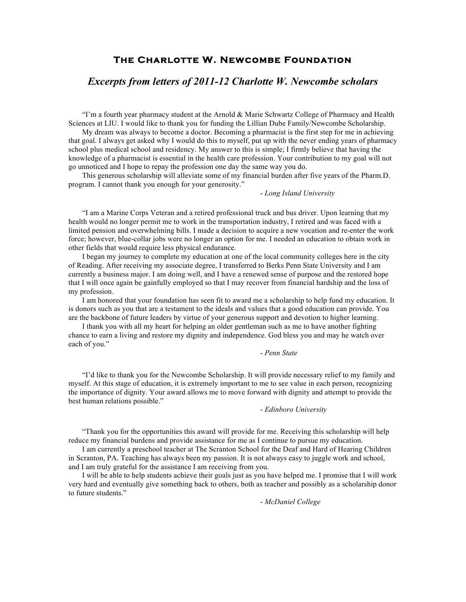# **The Charlotte W. Newcombe Foundation**

# *Excerpts from letters of 2011-12 Charlotte W. Newcombe scholars*

"I'm a fourth year pharmacy student at the Arnold & Marie Schwartz College of Pharmacy and Health Sciences at LIU. I would like to thank you for funding the Lillian Dube Family/Newcombe Scholarship.

My dream was always to become a doctor. Becoming a pharmacist is the first step for me in achieving that goal. I always get asked why I would do this to myself, put up with the never ending years of pharmacy school plus medical school and residency. My answer to this is simple; I firmly believe that having the knowledge of a pharmacist is essential in the health care profession. Your contribution to my goal will not go unnoticed and I hope to repay the profession one day the same way you do.

This generous scholarship will alleviate some of my financial burden after five years of the Pharm.D. program. I cannot thank you enough for your generosity."

# - *Long Island University*

"I am a Marine Corps Veteran and a retired professional truck and bus driver. Upon learning that my health would no longer permit me to work in the transportation industry, I retired and was faced with a limited pension and overwhelming bills. I made a decision to acquire a new vocation and re-enter the work force; however, blue-collar jobs were no longer an option for me. I needed an education to obtain work in other fields that would require less physical endurance.

I began my journey to complete my education at one of the local community colleges here in the city of Reading. After receiving my associate degree, I transferred to Berks Penn State University and I am currently a business major. I am doing well, and I have a renewed sense of purpose and the restored hope that I will once again be gainfully employed so that I may recover from financial hardship and the loss of my profession.

I am honored that your foundation has seen fit to award me a scholarship to help fund my education. It is donors such as you that are a testament to the ideals and values that a good education can provide. You are the backbone of future leaders by virtue of your generous support and devotion to higher learning.

I thank you with all my heart for helping an older gentleman such as me to have another fighting chance to earn a living and restore my dignity and independence. God bless you and may he watch over each of you."

#### - *Penn State*

"I'd like to thank you for the Newcombe Scholarship. It will provide necessary relief to my family and myself. At this stage of education, it is extremely important to me to see value in each person, recognizing the importance of dignity. Your award allows me to move forward with dignity and attempt to provide the best human relations possible."

- *Edinboro University*

"Thank you for the opportunities this award will provide for me. Receiving this scholarship will help reduce my financial burdens and provide assistance for me as I continue to pursue my education.

I am currently a preschool teacher at The Scranton School for the Deaf and Hard of Hearing Children in Scranton, PA. Teaching has always been my passion. It is not always easy to juggle work and school, and I am truly grateful for the assistance I am receiving from you.

I will be able to help students achieve their goals just as you have helped me. I promise that I will work very hard and eventually give something back to others, both as teacher and possibly as a scholarship donor to future students."

- *McDaniel College*